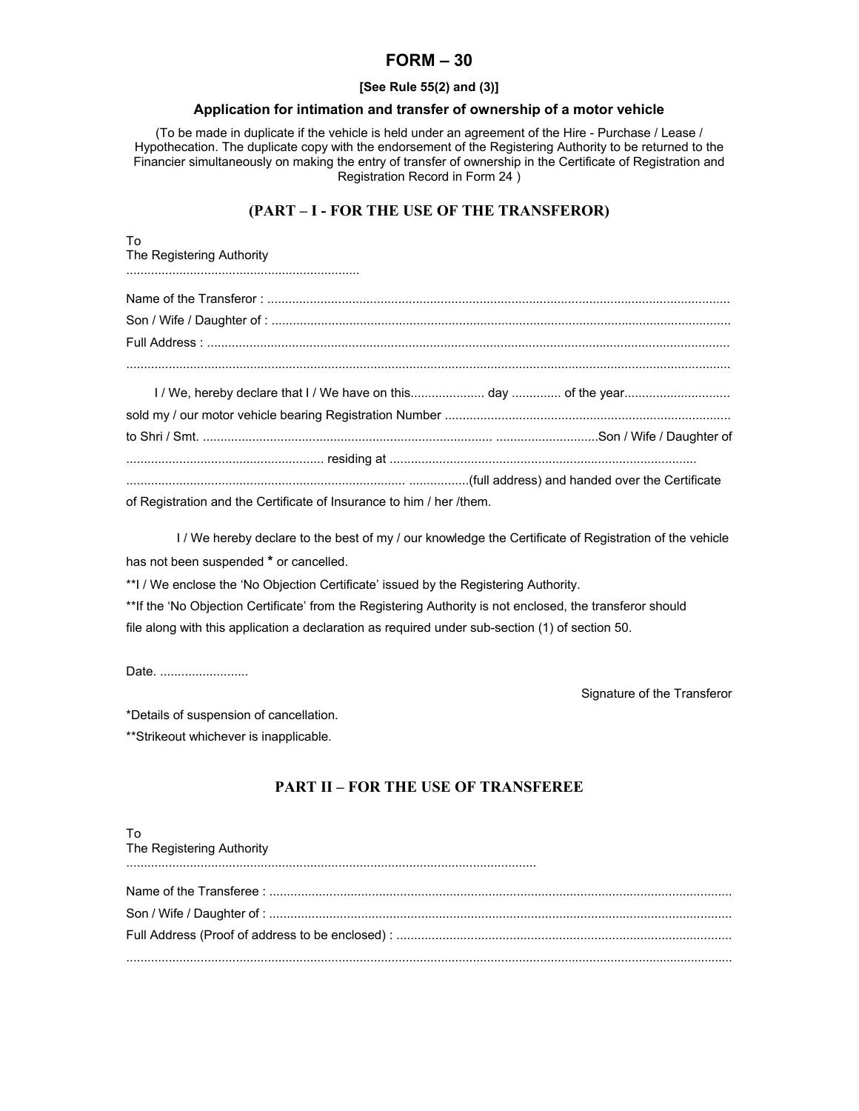# **FORM – 30**

### **[See Rule 55(2) and (3)]**

### **Application for intimation and transfer of ownership of a motor vehicle**

(To be made in duplicate if the vehicle is held under an agreement of the Hire - Purchase / Lease / Hypothecation. The duplicate copy with the endorsement of the Registering Authority to be returned to the Financier simultaneously on making the entry of transfer of ownership in the Certificate of Registration and Registration Record in Form 24 )

# **(PART – I - FOR THE USE OF THE TRANSFEROR)**

| To<br>The Registering Authority |  |
|---------------------------------|--|
|                                 |  |
|                                 |  |
|                                 |  |
|                                 |  |
|                                 |  |
|                                 |  |

of Registration and the Certificate of Insurance to him / her /them.

 I / We hereby declare to the best of my / our knowledge the Certificate of Registration of the vehicle has not been suspended **\*** or cancelled.

\*\*I / We enclose the 'No Objection Certificate' issued by the Registering Authority.

\*\*If the 'No Objection Certificate' from the Registering Authority is not enclosed, the transferor should file along with this application a declaration as required under sub-section (1) of section 50.

Date. ..........................

Signature of the Transferor

\*Details of suspension of cancellation.

\*\*Strikeout whichever is inapplicable.

# **PART II – FOR THE USE OF TRANSFEREE**

| To<br>The Registering Authority |
|---------------------------------|
|                                 |
|                                 |
|                                 |
|                                 |
|                                 |